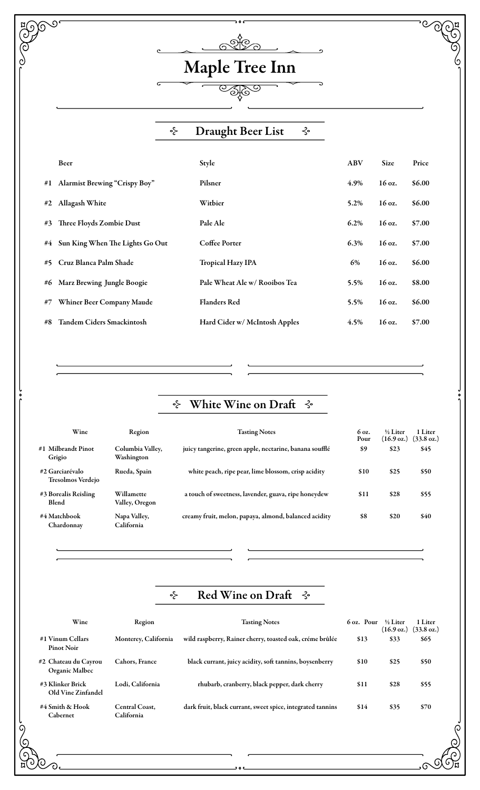## **COCH**  $\overline{\mathcal{O}}$ (ဂ) ෯ල  $\overline{\odot}$ <u>ہ</u> Maple Tree Inn Draught Beer List ⊰∘ ⊰∘ Beer and the Style Style Style ABV Size Price #1 Alarmist Brewing "Crispy Boy" Pilsner 4.9% 16 oz. \$6.00 #2 Allagash White Witbier 5.2% 16 oz. \$6.00 #3 Three Floyds Zombie Dust Pale Ale 6.2% 16 oz. \$7.00 #4 Sun King When The Lights Go Out Coffee Porter 6.3% 16 oz. \$7.00 #5 Cruz Blanca Palm Shade Tropical Hazy IPA 6% 16 oz. \$6.00 #6 Marz Brewing Jungle Boogie Pale Wheat Ale w/ Rooibos Tea 5.5% 16 oz. \$8.00 #7 Whiner Beer Company Maude Flanders Red 5.5% 16 oz. \$6.00 #8 Tandem Ciders Smackintosh Hard Cider w/ McIntosh Apples 4.5% 16 oz. \$7.00

## White Wine on Draft ⊰∘  $\prec$

| Wine                                 | Region                         | <b>Tasting Notes</b>                                    | 6 oz.<br>Pour | $\frac{1}{2}$ Liter<br>$(16.9 \text{ oz.})$ | 1 Liter<br>$(33.8 \text{ oz.})$ |
|--------------------------------------|--------------------------------|---------------------------------------------------------|---------------|---------------------------------------------|---------------------------------|
| #1 Milbrandt Pinot<br>Grigio         | Columbia Valley,<br>Washington | juicy tangerine, green apple, nectarine, banana soufflé | \$9           | \$23                                        | \$45                            |
| #2 Garciarévalo<br>Tresolmos Verdejo | Rueda, Spain                   | white peach, ripe pear, lime blossom, crisp acidity     | \$10          | \$25                                        | \$50                            |
| #3 Borealis Reisling<br>Blend        | Willamette<br>Valley, Oregon   | a touch of sweetness, lavender, guava, ripe honeydew    | \$11          | \$28                                        | \$55                            |
| #4 Matchbook<br>Chardonnav           | Napa Valley,<br>California     | creamy fruit, melon, papaya, almond, balanced acidity   | \$8           | \$20                                        | \$40                            |

## Red Wine on Draf ∻  $\prec$

| Wine                                   | Region                       | <b>Tasting Notes</b>                                       | 6 oz. Pour | $\frac{1}{2}$ Liter<br>$(16.9 \text{ oz.})$ | 1 Liter<br>$(33.8 \text{ oz.})$ |
|----------------------------------------|------------------------------|------------------------------------------------------------|------------|---------------------------------------------|---------------------------------|
| #1 Vinum Cellars<br><b>Pinot Noir</b>  | Monterey, California         | wild raspberry, Rainer cherry, toasted oak, créme brûlée   | \$13       | \$33                                        | \$65                            |
| #2 Chateau du Cavrou<br>Organic Malbec | <b>Cahors, France</b>        | black currant, juicy acidity, soft tannins, boysenberry    | \$10       | \$25                                        | \$50                            |
| #3 Klinker Brick<br>Old Vine Zinfandel | Lodi, California             | rhubarb, cranberry, black pepper, dark cherry              | \$11       | \$28                                        | \$55                            |
| #4 Smith & Hook<br>Cabernet            | Central Coast.<br>California | dark fruit, black currant, sweet spice, integrated tannins | \$14       | \$35                                        | \$70                            |

ට.

G